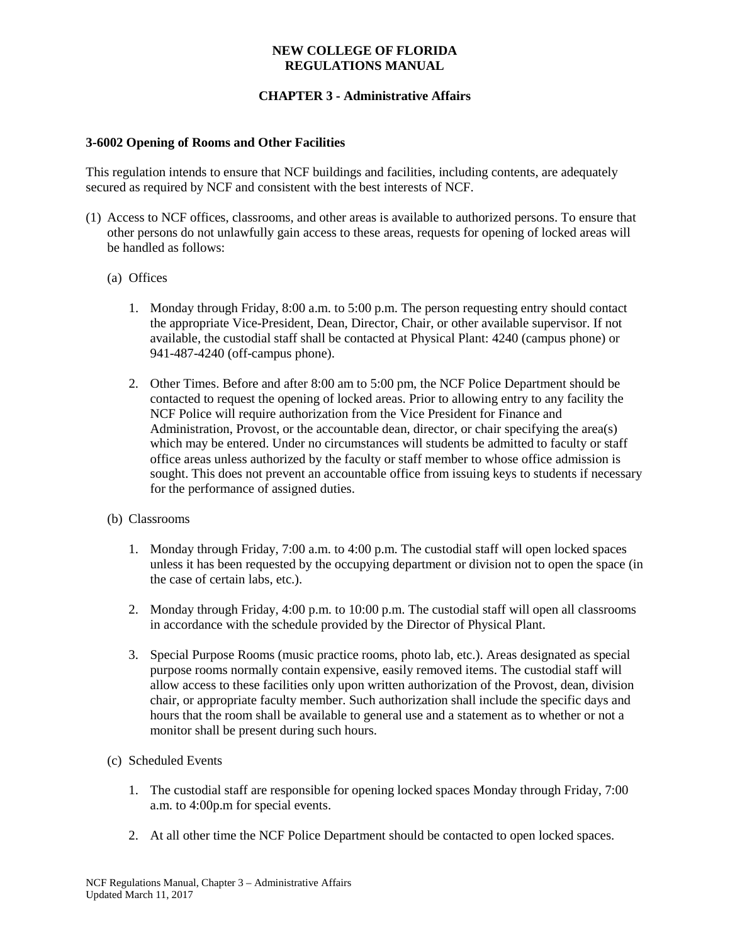### **NEW COLLEGE OF FLORIDA REGULATIONS MANUAL**

# **CHAPTER 3 - Administrative Affairs**

### **3-6002 Opening of Rooms and Other Facilities**

This regulation intends to ensure that NCF buildings and facilities, including contents, are adequately secured as required by NCF and consistent with the best interests of NCF.

- (1) Access to NCF offices, classrooms, and other areas is available to authorized persons. To ensure that other persons do not unlawfully gain access to these areas, requests for opening of locked areas will be handled as follows:
	- (a) Offices
		- 1. Monday through Friday, 8:00 a.m. to 5:00 p.m. The person requesting entry should contact the appropriate Vice-President, Dean, Director, Chair, or other available supervisor. If not available, the custodial staff shall be contacted at Physical Plant: 4240 (campus phone) or 941-487-4240 (off-campus phone).
		- 2. Other Times. Before and after 8:00 am to 5:00 pm, the NCF Police Department should be contacted to request the opening of locked areas. Prior to allowing entry to any facility the NCF Police will require authorization from the Vice President for Finance and Administration, Provost, or the accountable dean, director, or chair specifying the area(s) which may be entered. Under no circumstances will students be admitted to faculty or staff office areas unless authorized by the faculty or staff member to whose office admission is sought. This does not prevent an accountable office from issuing keys to students if necessary for the performance of assigned duties.
	- (b) Classrooms
		- 1. Monday through Friday, 7:00 a.m. to 4:00 p.m. The custodial staff will open locked spaces unless it has been requested by the occupying department or division not to open the space (in the case of certain labs, etc.).
		- 2. Monday through Friday, 4:00 p.m. to 10:00 p.m. The custodial staff will open all classrooms in accordance with the schedule provided by the Director of Physical Plant.
		- 3. Special Purpose Rooms (music practice rooms, photo lab, etc.). Areas designated as special purpose rooms normally contain expensive, easily removed items. The custodial staff will allow access to these facilities only upon written authorization of the Provost, dean, division chair, or appropriate faculty member. Such authorization shall include the specific days and hours that the room shall be available to general use and a statement as to whether or not a monitor shall be present during such hours.
	- (c) Scheduled Events
		- 1. The custodial staff are responsible for opening locked spaces Monday through Friday, 7:00 a.m. to 4:00p.m for special events.
		- 2. At all other time the NCF Police Department should be contacted to open locked spaces.